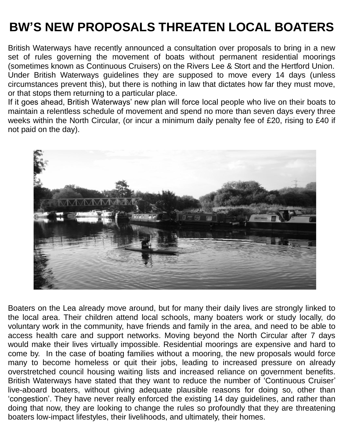# **BW'S NEW PROPOSALS THREATEN LOCAL BOATERS**

British Waterways have recently announced a consultation over proposals to bring in a new set of rules governing the movement of boats without permanent residential moorings (sometimes known as Continuous Cruisers) on the Rivers Lee & Stort and the Hertford Union. Under British Waterways guidelines they are supposed to move every 14 days (unless circumstances prevent this), but there is nothing in law that dictates how far they must move, or that stops them returning to a particular place.

If it goes ahead, British Waterways' new plan will force local people who live on their boats to maintain a relentless schedule of movement and spend no more than seven days every three weeks within the North Circular, (or incur a minimum daily penalty fee of £20, rising to £40 if not paid on the day).



Boaters on the Lea already move around, but for many their daily lives are strongly linked to the local area. Their children attend local schools, many boaters work or study locally, do voluntary work in the community, have friends and family in the area, and need to be able to access health care and support networks. Moving beyond the North Circular after 7 days would make their lives virtually impossible. Residential moorings are expensive and hard to come by. In the case of boating families without a mooring, the new proposals would force many to become homeless or quit their jobs, leading to increased pressure on already overstretched council housing waiting lists and increased reliance on government benefits. British Waterways have stated that they want to reduce the number of 'Continuous Cruiser' live-aboard boaters, without giving adequate plausible reasons for doing so, other than 'congestion'. They have never really enforced the existing 14 day guidelines, and rather than doing that now, they are looking to change the rules so profoundly that they are threatening boaters low-impact lifestyles, their livelihoods, and ultimately, their homes.